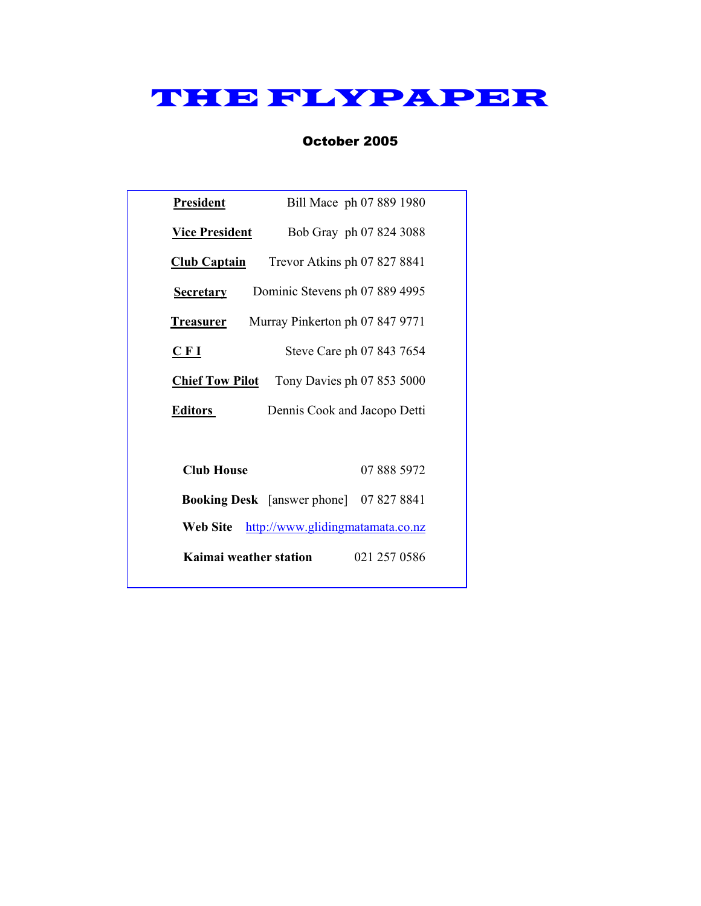# THE FLYPAPER

## October 2005

| <b>President</b>                             | Bill Mace ph 07 889 1980                          |  |  |  |  |
|----------------------------------------------|---------------------------------------------------|--|--|--|--|
| <b>Vice President</b>                        | Bob Gray ph 07 824 3088                           |  |  |  |  |
| <u>Club Captain</u>                          | Trevor Atkins ph 07 827 8841                      |  |  |  |  |
| <b>Secretary</b>                             | Dominic Stevens ph 07 889 4995                    |  |  |  |  |
| <b>Treasurer</b>                             | Murray Pinkerton ph 07 847 9771                   |  |  |  |  |
| CFI                                          | Steve Care ph 07 843 7654                         |  |  |  |  |
|                                              | <b>Chief Tow Pilot</b> Tony Davies ph 07 853 5000 |  |  |  |  |
| <b>Editors</b>                               | Dennis Cook and Jacopo Detti                      |  |  |  |  |
|                                              |                                                   |  |  |  |  |
| <b>Club House</b>                            | 07 888 5972                                       |  |  |  |  |
|                                              | <b>Booking Desk</b> [answer phone] 07 827 8841    |  |  |  |  |
| http://www.glidingmatamata.co.nz<br>Web Site |                                                   |  |  |  |  |
| Kaimai weather station<br>021 257 0586       |                                                   |  |  |  |  |
|                                              |                                                   |  |  |  |  |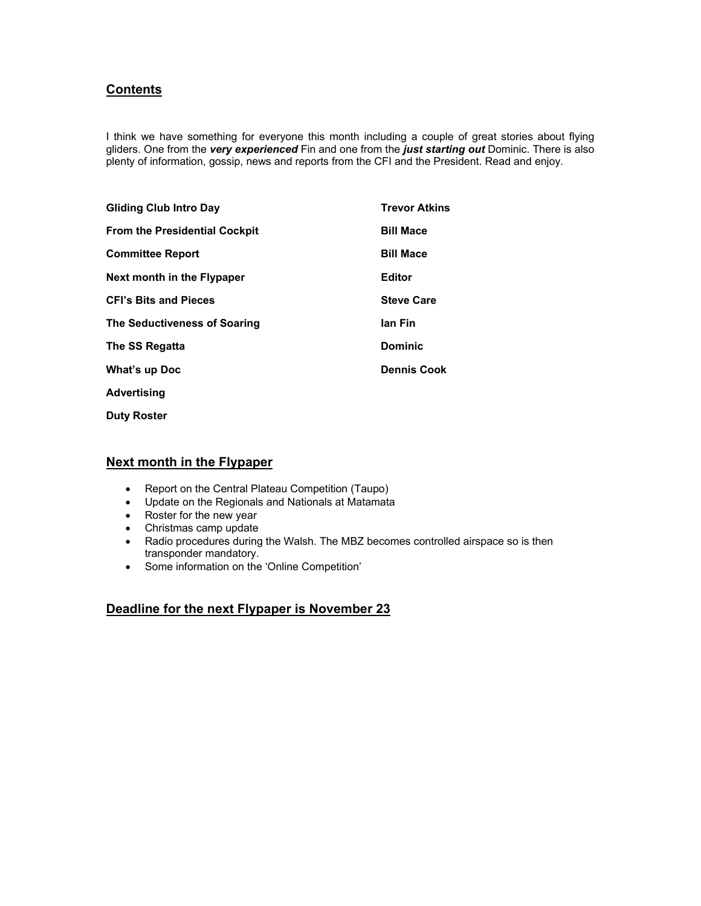## **Contents**

I think we have something for everyone this month including a couple of great stories about flying gliders. One from the *very experienced* Fin and one from the *just starting out* Dominic. There is also plenty of information, gossip, news and reports from the CFI and the President. Read and enjoy.

| <b>Gliding Club Intro Day</b>        | <b>Trevor Atkins</b> |
|--------------------------------------|----------------------|
| <b>From the Presidential Cockpit</b> | <b>Bill Mace</b>     |
| <b>Committee Report</b>              | <b>Bill Mace</b>     |
| Next month in the Flypaper           | <b>Editor</b>        |
| <b>CFI's Bits and Pieces</b>         | <b>Steve Care</b>    |
| The Seductiveness of Soaring         | lan Fin              |
| The SS Regatta                       | <b>Dominic</b>       |
| What's up Doc                        | <b>Dennis Cook</b>   |
| Advertising                          |                      |
|                                      |                      |

**Duty Roster** 

## **Next month in the Flypaper**

- Report on the Central Plateau Competition (Taupo)
- Update on the Regionals and Nationals at Matamata
- Roster for the new year
- Christmas camp update
- Radio procedures during the Walsh. The MBZ becomes controlled airspace so is then transponder mandatory.
- Some information on the 'Online Competition'

## **Deadline for the next Flypaper is November 23**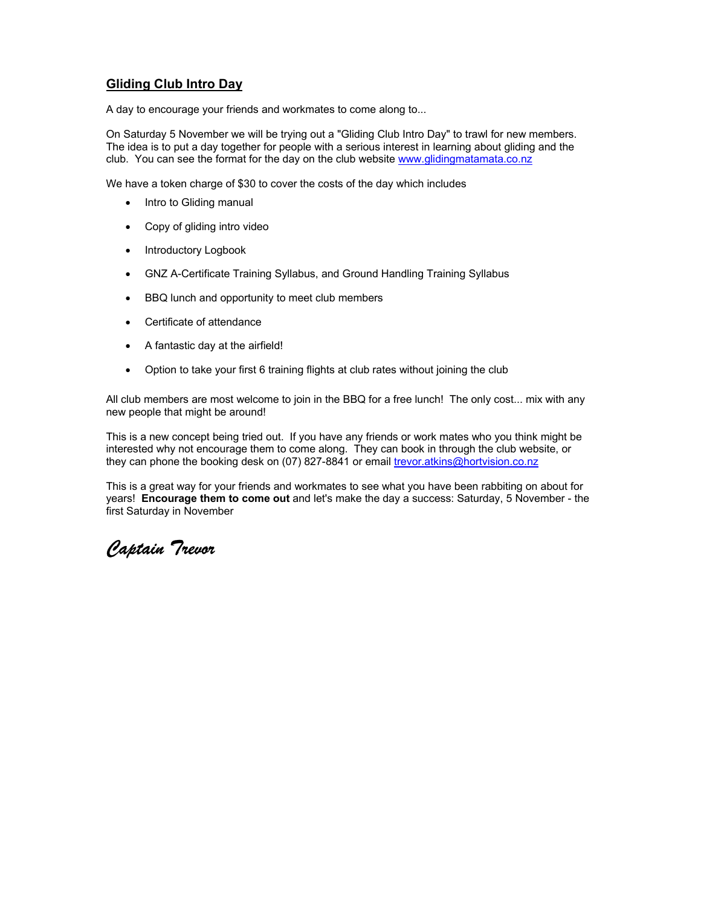## **Gliding Club Intro Day**

A day to encourage your friends and workmates to come along to...

On Saturday 5 November we will be trying out a "Gliding Club Intro Day" to trawl for new members. The idea is to put a day together for people with a serious interest in learning about gliding and the club. You can see the format for the day on the club website www.glidingmatamata.co.nz

We have a token charge of \$30 to cover the costs of the day which includes

- Intro to Gliding manual
- Copy of gliding intro video
- Introductory Logbook
- GNZ A-Certificate Training Syllabus, and Ground Handling Training Syllabus
- BBQ lunch and opportunity to meet club members
- Certificate of attendance
- A fantastic day at the airfield!
- Option to take your first 6 training flights at club rates without joining the club

All club members are most welcome to join in the BBQ for a free lunch! The only cost... mix with any new people that might be around!

This is a new concept being tried out. If you have any friends or work mates who you think might be interested why not encourage them to come along. They can book in through the club website, or they can phone the booking desk on (07) 827-8841 or email trevor.atkins@hortvision.co.nz

This is a great way for your friends and workmates to see what you have been rabbiting on about for years! **Encourage them to come out** and let's make the day a success: Saturday, 5 November - the first Saturday in November

*Captain Trevor*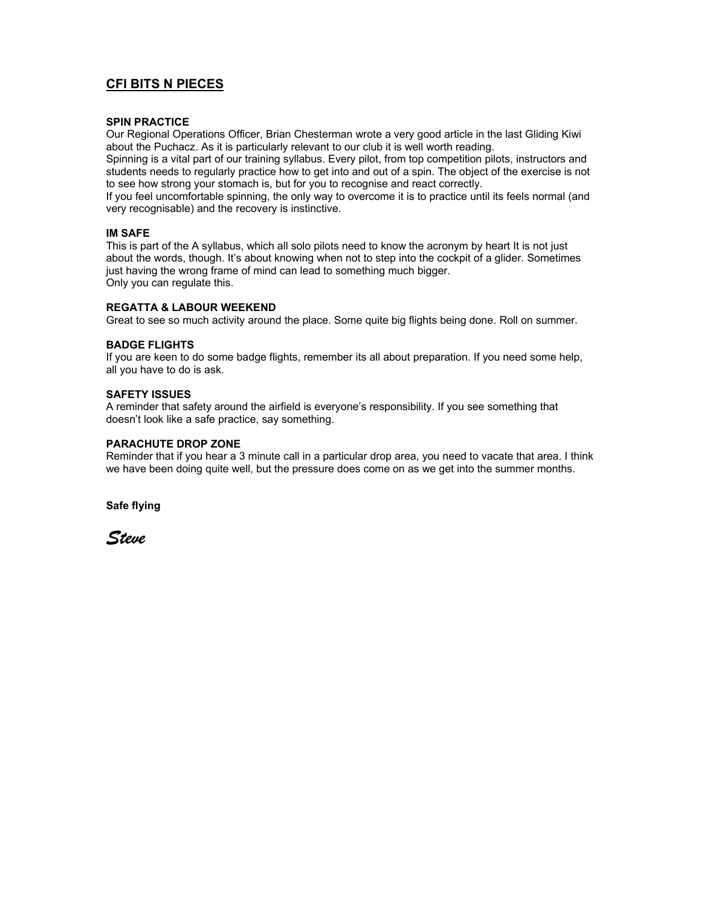## **CFI BITS N PIECES**

#### **SPIN PRACTICE**

Our Regional Operations Officer, Brian Chesterman wrote a very good article in the last Gliding Kiwi about the Puchacz. As it is particularly relevant to our club it is well worth reading.

Spinning is a vital part of our training syllabus. Every pilot, from top competition pilots, instructors and students needs to regularly practice how to get into and out of a spin. The object of the exercise is not to see how strong your stomach is, but for you to recognise and react correctly.

If you feel uncomfortable spinning, the only way to overcome it is to practice until its feels normal (and very recognisable) and the recovery is instinctive.

#### **IM SAFE**

This is part of the A syllabus, which all solo pilots need to know the acronym by heart It is not just about the words, though. It's about knowing when not to step into the cockpit of a glider. Sometimes just having the wrong frame of mind can lead to something much bigger. Only you can regulate this.

#### **REGATTA & LABOUR WEEKEND**

Great to see so much activity around the place. Some quite big flights being done. Roll on summer.

#### **BADGE FLIGHTS**

If you are keen to do some badge flights, remember its all about preparation. If you need some help, all you have to do is ask.

#### **SAFETY ISSUES**

A reminder that safety around the airfield is everyone's responsibility. If you see something that doesn't look like a safe practice, say something.

#### **PARACHUTE DROP ZONE**

Reminder that if you hear a 3 minute call in a particular drop area, you need to vacate that area. I think we have been doing quite well, but the pressure does come on as we get into the summer months.

**Safe flying** 

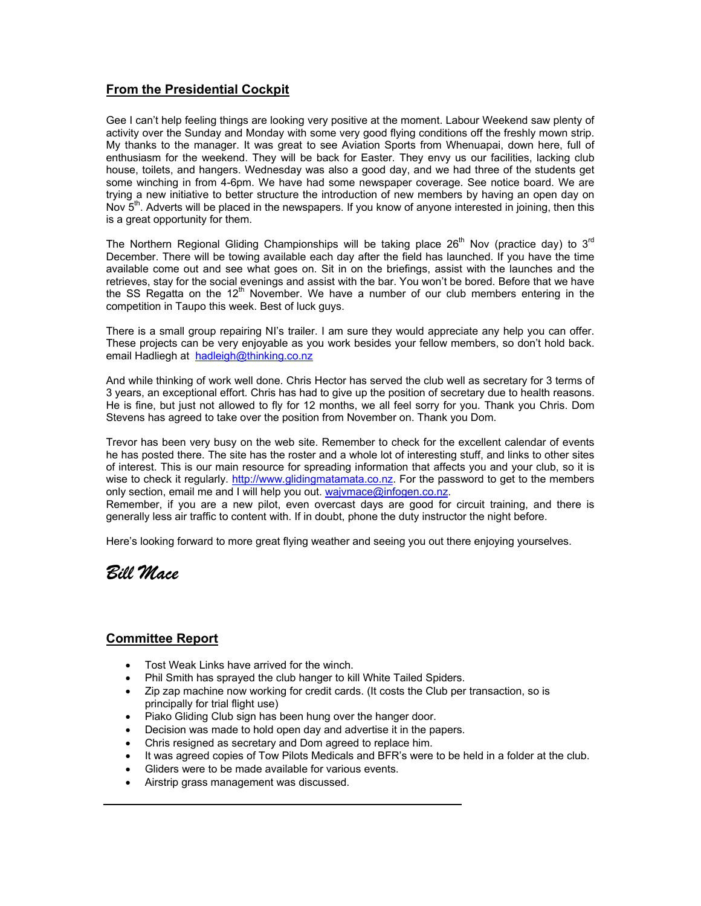## **From the Presidential Cockpit**

Gee I can't help feeling things are looking very positive at the moment. Labour Weekend saw plenty of activity over the Sunday and Monday with some very good flying conditions off the freshly mown strip. My thanks to the manager. It was great to see Aviation Sports from Whenuapai, down here, full of enthusiasm for the weekend. They will be back for Easter. They envy us our facilities, lacking club house, toilets, and hangers. Wednesday was also a good day, and we had three of the students get some winching in from 4-6pm. We have had some newspaper coverage. See notice board. We are trying a new initiative to better structure the introduction of new members by having an open day on Nov  $5<sup>th</sup>$ . Adverts will be placed in the newspapers. If you know of anyone interested in joining, then this is a great opportunity for them.

The Northern Regional Gliding Championships will be taking place  $26<sup>th</sup>$  Nov (practice day) to  $3<sup>rd</sup>$ December. There will be towing available each day after the field has launched. If you have the time available come out and see what goes on. Sit in on the briefings, assist with the launches and the retrieves, stay for the social evenings and assist with the bar. You won't be bored. Before that we have the SS Regatta on the  $12<sup>th</sup>$  November. We have a number of our club members entering in the competition in Taupo this week. Best of luck guys.

There is a small group repairing NI's trailer. I am sure they would appreciate any help you can offer. These projects can be very enjoyable as you work besides your fellow members, so don't hold back. email Hadliegh at hadleigh@thinking.co.nz

And while thinking of work well done. Chris Hector has served the club well as secretary for 3 terms of 3 years, an exceptional effort. Chris has had to give up the position of secretary due to health reasons. He is fine, but just not allowed to fly for 12 months, we all feel sorry for you. Thank you Chris. Dom Stevens has agreed to take over the position from November on. Thank you Dom.

Trevor has been very busy on the web site. Remember to check for the excellent calendar of events he has posted there. The site has the roster and a whole lot of interesting stuff, and links to other sites of interest. This is our main resource for spreading information that affects you and your club, so it is wise to check it regularly. http://www.glidingmatamata.co.nz. For the password to get to the members only section, email me and I will help you out. wajvmace@infogen.co.nz. Remember, if you are a new pilot, even overcast days are good for circuit training, and there is

generally less air traffic to content with. If in doubt, phone the duty instructor the night before.

Here's looking forward to more great flying weather and seeing you out there enjoying yourselves.



#### **Committee Report**

- Tost Weak Links have arrived for the winch.
- Phil Smith has sprayed the club hanger to kill White Tailed Spiders.
- Zip zap machine now working for credit cards. (It costs the Club per transaction, so is principally for trial flight use)
- Piako Gliding Club sign has been hung over the hanger door.
- Decision was made to hold open day and advertise it in the papers.
- Chris resigned as secretary and Dom agreed to replace him.
- It was agreed copies of Tow Pilots Medicals and BFR's were to be held in a folder at the club.
- Gliders were to be made available for various events.
- Airstrip grass management was discussed.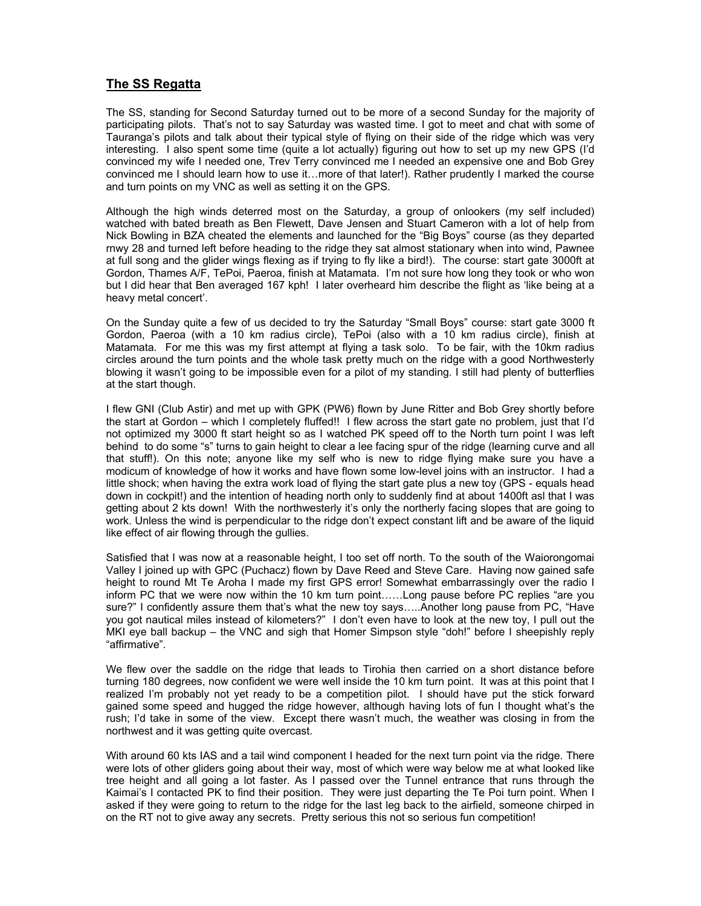## **The SS Regatta**

The SS, standing for Second Saturday turned out to be more of a second Sunday for the majority of participating pilots. That's not to say Saturday was wasted time. I got to meet and chat with some of Tauranga's pilots and talk about their typical style of flying on their side of the ridge which was very interesting. I also spent some time (quite a lot actually) figuring out how to set up my new GPS (I'd convinced my wife I needed one, Trev Terry convinced me I needed an expensive one and Bob Grey convinced me I should learn how to use it…more of that later!). Rather prudently I marked the course and turn points on my VNC as well as setting it on the GPS.

Although the high winds deterred most on the Saturday, a group of onlookers (my self included) watched with bated breath as Ben Flewett, Dave Jensen and Stuart Cameron with a lot of help from Nick Bowling in BZA cheated the elements and launched for the "Big Boys" course (as they departed rnwy 28 and turned left before heading to the ridge they sat almost stationary when into wind, Pawnee at full song and the glider wings flexing as if trying to fly like a bird!). The course: start gate 3000ft at Gordon, Thames A/F, TePoi, Paeroa, finish at Matamata. I'm not sure how long they took or who won but I did hear that Ben averaged 167 kph! I later overheard him describe the flight as 'like being at a heavy metal concert'.

On the Sunday quite a few of us decided to try the Saturday "Small Boys" course: start gate 3000 ft Gordon, Paeroa (with a 10 km radius circle), TePoi (also with a 10 km radius circle), finish at Matamata. For me this was my first attempt at flying a task solo. To be fair, with the 10km radius circles around the turn points and the whole task pretty much on the ridge with a good Northwesterly blowing it wasn't going to be impossible even for a pilot of my standing. I still had plenty of butterflies at the start though.

I flew GNI (Club Astir) and met up with GPK (PW6) flown by June Ritter and Bob Grey shortly before the start at Gordon – which I completely fluffed!! I flew across the start gate no problem, just that I'd not optimized my 3000 ft start height so as I watched PK speed off to the North turn point I was left behind to do some "s" turns to gain height to clear a lee facing spur of the ridge (learning curve and all that stuff!). On this note; anyone like my self who is new to ridge flying make sure you have a modicum of knowledge of how it works and have flown some low-level joins with an instructor. I had a little shock; when having the extra work load of flying the start gate plus a new toy (GPS - equals head down in cockpit!) and the intention of heading north only to suddenly find at about 1400ft asl that I was getting about 2 kts down! With the northwesterly it's only the northerly facing slopes that are going to work. Unless the wind is perpendicular to the ridge don't expect constant lift and be aware of the liquid like effect of air flowing through the gullies.

Satisfied that I was now at a reasonable height, I too set off north. To the south of the Waiorongomai Valley I joined up with GPC (Puchacz) flown by Dave Reed and Steve Care. Having now gained safe height to round Mt Te Aroha I made my first GPS error! Somewhat embarrassingly over the radio I inform PC that we were now within the 10 km turn point……Long pause before PC replies "are you sure?" I confidently assure them that's what the new toy says…..Another long pause from PC, "Have you got nautical miles instead of kilometers?" I don't even have to look at the new toy, I pull out the MKI eye ball backup – the VNC and sigh that Homer Simpson style "doh!" before I sheepishly reply "affirmative".

We flew over the saddle on the ridge that leads to Tirohia then carried on a short distance before turning 180 degrees, now confident we were well inside the 10 km turn point. It was at this point that I realized I'm probably not yet ready to be a competition pilot. I should have put the stick forward gained some speed and hugged the ridge however, although having lots of fun I thought what's the rush; I'd take in some of the view. Except there wasn't much, the weather was closing in from the northwest and it was getting quite overcast.

With around 60 kts IAS and a tail wind component I headed for the next turn point via the ridge. There were lots of other gliders going about their way, most of which were way below me at what looked like tree height and all going a lot faster. As I passed over the Tunnel entrance that runs through the Kaimai's I contacted PK to find their position. They were just departing the Te Poi turn point. When I asked if they were going to return to the ridge for the last leg back to the airfield, someone chirped in on the RT not to give away any secrets. Pretty serious this not so serious fun competition!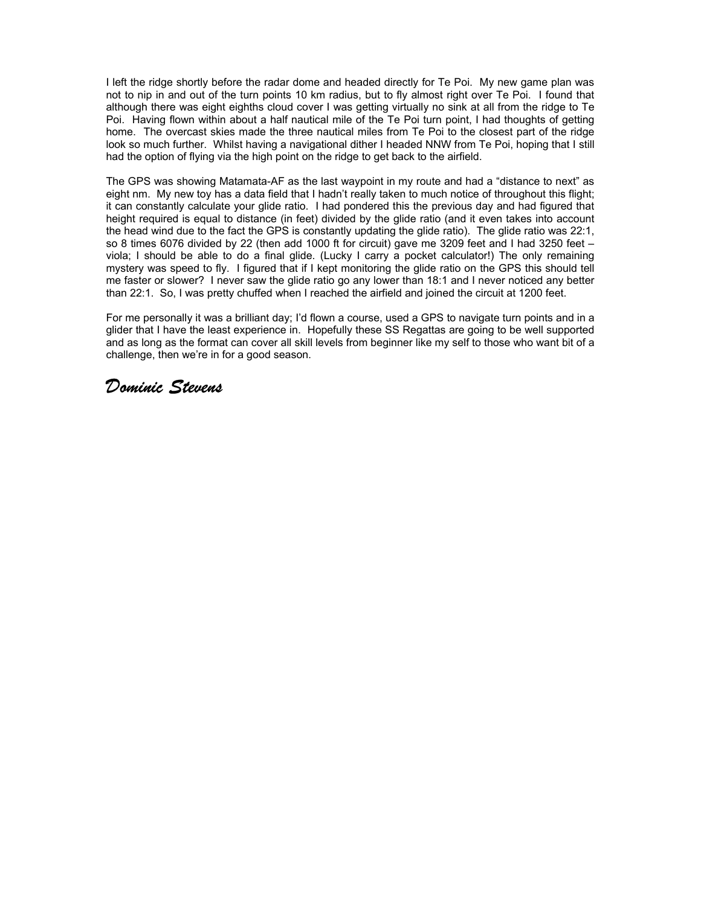I left the ridge shortly before the radar dome and headed directly for Te Poi. My new game plan was not to nip in and out of the turn points 10 km radius, but to fly almost right over Te Poi. I found that although there was eight eighths cloud cover I was getting virtually no sink at all from the ridge to Te Poi. Having flown within about a half nautical mile of the Te Poi turn point, I had thoughts of getting home. The overcast skies made the three nautical miles from Te Poi to the closest part of the ridge look so much further. Whilst having a navigational dither I headed NNW from Te Poi, hoping that I still had the option of flying via the high point on the ridge to get back to the airfield.

The GPS was showing Matamata-AF as the last waypoint in my route and had a "distance to next" as eight nm. My new toy has a data field that I hadn't really taken to much notice of throughout this flight; it can constantly calculate your glide ratio. I had pondered this the previous day and had figured that height required is equal to distance (in feet) divided by the glide ratio (and it even takes into account the head wind due to the fact the GPS is constantly updating the glide ratio). The glide ratio was 22:1, so 8 times 6076 divided by 22 (then add 1000 ft for circuit) gave me 3209 feet and I had 3250 feet – viola; I should be able to do a final glide. (Lucky I carry a pocket calculator!) The only remaining mystery was speed to fly. I figured that if I kept monitoring the glide ratio on the GPS this should tell me faster or slower? I never saw the glide ratio go any lower than 18:1 and I never noticed any better than 22:1. So, I was pretty chuffed when I reached the airfield and joined the circuit at 1200 feet.

For me personally it was a brilliant day; I'd flown a course, used a GPS to navigate turn points and in a glider that I have the least experience in. Hopefully these SS Regattas are going to be well supported and as long as the format can cover all skill levels from beginner like my self to those who want bit of a challenge, then we're in for a good season.

## *Dominic Stevens*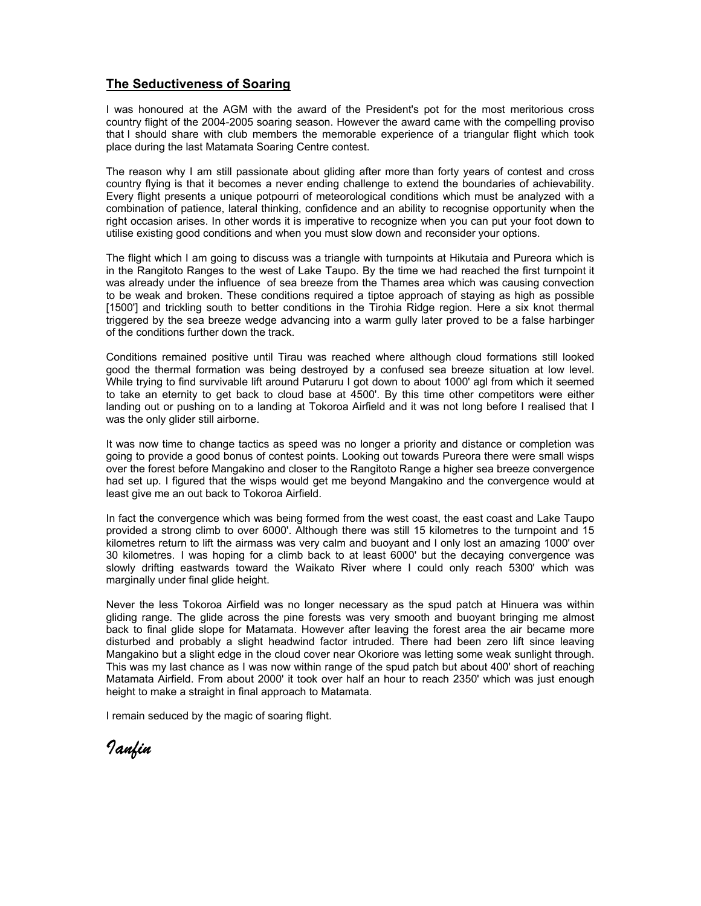#### **The Seductiveness of Soaring**

I was honoured at the AGM with the award of the President's pot for the most meritorious cross country flight of the 2004-2005 soaring season. However the award came with the compelling proviso that I should share with club members the memorable experience of a triangular flight which took place during the last Matamata Soaring Centre contest.

The reason why I am still passionate about gliding after more than forty years of contest and cross country flying is that it becomes a never ending challenge to extend the boundaries of achievability. Every flight presents a unique potpourri of meteorological conditions which must be analyzed with a combination of patience, lateral thinking, confidence and an ability to recognise opportunity when the right occasion arises. In other words it is imperative to recognize when you can put your foot down to utilise existing good conditions and when you must slow down and reconsider your options.

The flight which I am going to discuss was a triangle with turnpoints at Hikutaia and Pureora which is in the Rangitoto Ranges to the west of Lake Taupo. By the time we had reached the first turnpoint it was already under the influence of sea breeze from the Thames area which was causing convection to be weak and broken. These conditions required a tiptoe approach of staying as high as possible [1500'] and trickling south to better conditions in the Tirohia Ridge region. Here a six knot thermal triggered by the sea breeze wedge advancing into a warm gully later proved to be a false harbinger of the conditions further down the track.

Conditions remained positive until Tirau was reached where although cloud formations still looked good the thermal formation was being destroyed by a confused sea breeze situation at low level. While trying to find survivable lift around Putaruru I got down to about 1000' agl from which it seemed to take an eternity to get back to cloud base at 4500'. By this time other competitors were either landing out or pushing on to a landing at Tokoroa Airfield and it was not long before I realised that I was the only glider still airborne.

It was now time to change tactics as speed was no longer a priority and distance or completion was going to provide a good bonus of contest points. Looking out towards Pureora there were small wisps over the forest before Mangakino and closer to the Rangitoto Range a higher sea breeze convergence had set up. I figured that the wisps would get me beyond Mangakino and the convergence would at least give me an out back to Tokoroa Airfield.

In fact the convergence which was being formed from the west coast, the east coast and Lake Taupo provided a strong climb to over 6000'. Although there was still 15 kilometres to the turnpoint and 15 kilometres return to lift the airmass was very calm and buoyant and I only lost an amazing 1000' over 30 kilometres. I was hoping for a climb back to at least 6000' but the decaying convergence was slowly drifting eastwards toward the Waikato River where I could only reach 5300' which was marginally under final glide height.

Never the less Tokoroa Airfield was no longer necessary as the spud patch at Hinuera was within gliding range. The glide across the pine forests was very smooth and buoyant bringing me almost back to final glide slope for Matamata. However after leaving the forest area the air became more disturbed and probably a slight headwind factor intruded. There had been zero lift since leaving Mangakino but a slight edge in the cloud cover near Okoriore was letting some weak sunlight through. This was my last chance as I was now within range of the spud patch but about 400' short of reaching Matamata Airfield. From about 2000' it took over half an hour to reach 2350' which was just enough height to make a straight in final approach to Matamata.

I remain seduced by the magic of soaring flight.

*Ianfin*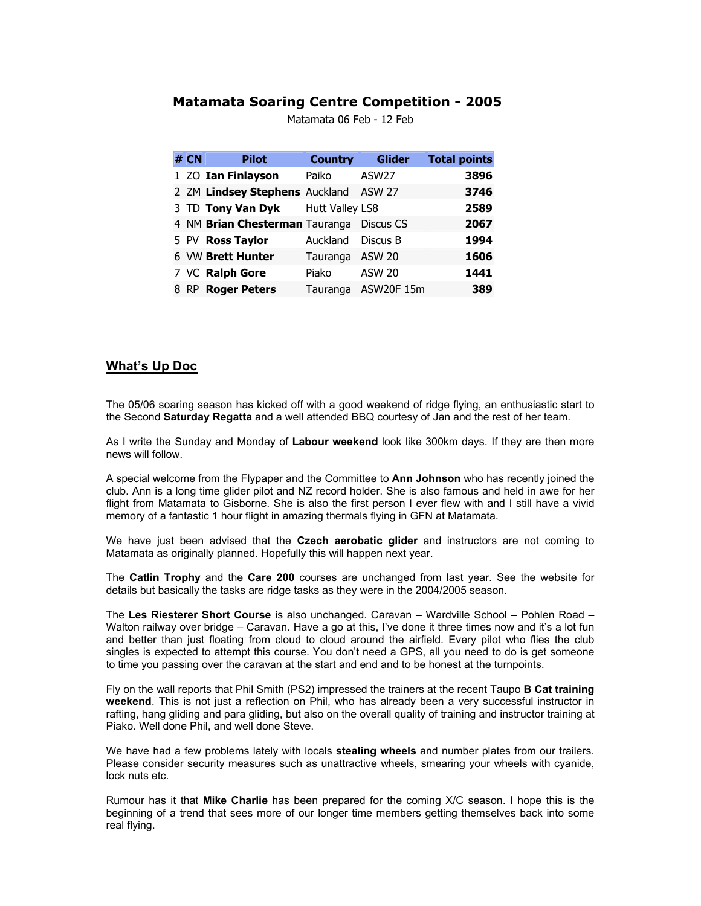#### **Matamata Soaring Centre Competition - 2005**

| # $CN$ | <b>Pilot</b>                             | <b>Country</b>  | <b>Glider</b>       | <b>Total points</b> |
|--------|------------------------------------------|-----------------|---------------------|---------------------|
|        | 1 ZO Ian Finlayson                       | Paiko           | ASW <sub>27</sub>   | 3896                |
|        | 2 ZM Lindsey Stephens Auckland ASW 27    |                 |                     | 3746                |
|        | 3 TD Tony Van Dyk Hutt Valley LS8        |                 |                     | 2589                |
|        | 4 NM Brian Chesterman Tauranga Discus CS |                 |                     | 2067                |
|        | 5 PV Ross Taylor                         | Auckland        | Discus B            | 1994                |
|        | 6 VW Brett Hunter                        | Tauranga ASW 20 |                     | 1606                |
|        | 7 VC Ralph Gore                          | Piako           | <b>ASW 20</b>       | 1441                |
|        | 8 RP Roger Peters                        |                 | Tauranga ASW20F 15m | 389                 |

Matamata 06 Feb - 12 Feb

## **What's Up Doc**

The 05/06 soaring season has kicked off with a good weekend of ridge flying, an enthusiastic start to the Second **Saturday Regatta** and a well attended BBQ courtesy of Jan and the rest of her team.

As I write the Sunday and Monday of **Labour weekend** look like 300km days. If they are then more news will follow.

A special welcome from the Flypaper and the Committee to **Ann Johnson** who has recently joined the club. Ann is a long time glider pilot and NZ record holder. She is also famous and held in awe for her flight from Matamata to Gisborne. She is also the first person I ever flew with and I still have a vivid memory of a fantastic 1 hour flight in amazing thermals flying in GFN at Matamata.

We have just been advised that the **Czech aerobatic glider** and instructors are not coming to Matamata as originally planned. Hopefully this will happen next year.

The **Catlin Trophy** and the **Care 200** courses are unchanged from last year. See the website for details but basically the tasks are ridge tasks as they were in the 2004/2005 season.

The **Les Riesterer Short Course** is also unchanged. Caravan – Wardville School – Pohlen Road – Walton railway over bridge – Caravan. Have a go at this, I've done it three times now and it's a lot fun and better than just floating from cloud to cloud around the airfield. Every pilot who flies the club singles is expected to attempt this course. You don't need a GPS, all you need to do is get someone to time you passing over the caravan at the start and end and to be honest at the turnpoints.

Fly on the wall reports that Phil Smith (PS2) impressed the trainers at the recent Taupo **B Cat training weekend**. This is not just a reflection on Phil, who has already been a very successful instructor in rafting, hang gliding and para gliding, but also on the overall quality of training and instructor training at Piako. Well done Phil, and well done Steve.

We have had a few problems lately with locals **stealing wheels** and number plates from our trailers. Please consider security measures such as unattractive wheels, smearing your wheels with cyanide, lock nuts etc.

Rumour has it that **Mike Charlie** has been prepared for the coming X/C season. I hope this is the beginning of a trend that sees more of our longer time members getting themselves back into some real flying.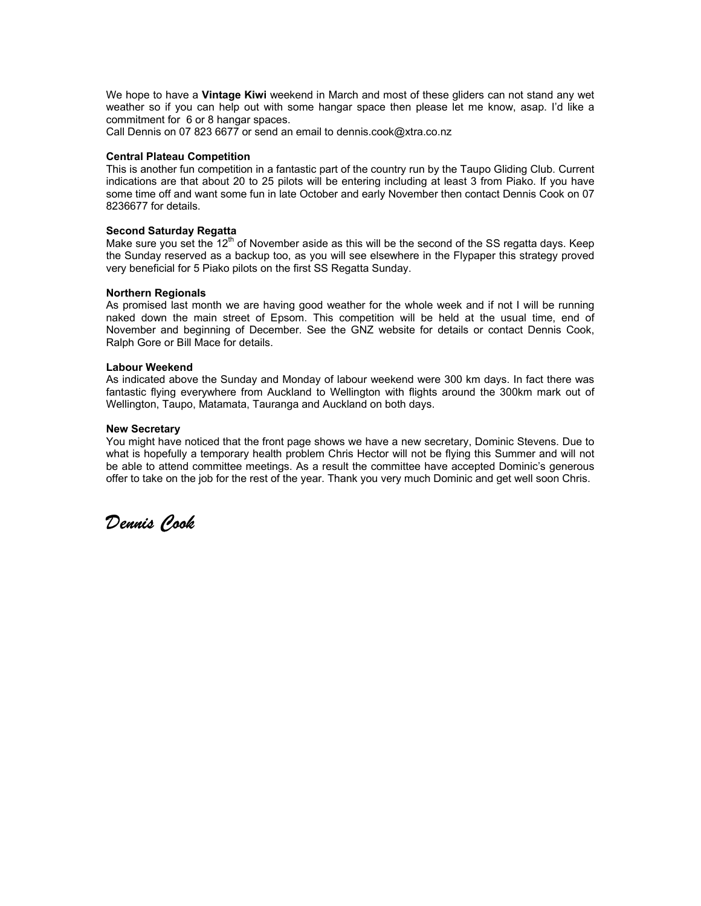We hope to have a **Vintage Kiwi** weekend in March and most of these gliders can not stand any wet weather so if you can help out with some hangar space then please let me know, asap. I'd like a commitment for 6 or 8 hangar spaces.

Call Dennis on 07 823 6677 or send an email to dennis.cook@xtra.co.nz

#### **Central Plateau Competition**

This is another fun competition in a fantastic part of the country run by the Taupo Gliding Club. Current indications are that about 20 to 25 pilots will be entering including at least 3 from Piako. If you have some time off and want some fun in late October and early November then contact Dennis Cook on 07 8236677 for details.

#### **Second Saturday Regatta**

Make sure you set the  $12<sup>th</sup>$  of November aside as this will be the second of the SS regatta days. Keep the Sunday reserved as a backup too, as you will see elsewhere in the Flypaper this strategy proved very beneficial for 5 Piako pilots on the first SS Regatta Sunday.

#### **Northern Regionals**

As promised last month we are having good weather for the whole week and if not I will be running naked down the main street of Epsom. This competition will be held at the usual time, end of November and beginning of December. See the GNZ website for details or contact Dennis Cook, Ralph Gore or Bill Mace for details.

#### **Labour Weekend**

As indicated above the Sunday and Monday of labour weekend were 300 km days. In fact there was fantastic flying everywhere from Auckland to Wellington with flights around the 300km mark out of Wellington, Taupo, Matamata, Tauranga and Auckland on both days.

#### **New Secretary**

You might have noticed that the front page shows we have a new secretary, Dominic Stevens. Due to what is hopefully a temporary health problem Chris Hector will not be flying this Summer and will not be able to attend committee meetings. As a result the committee have accepted Dominic's generous offer to take on the job for the rest of the year. Thank you very much Dominic and get well soon Chris.

*Dennis Cook*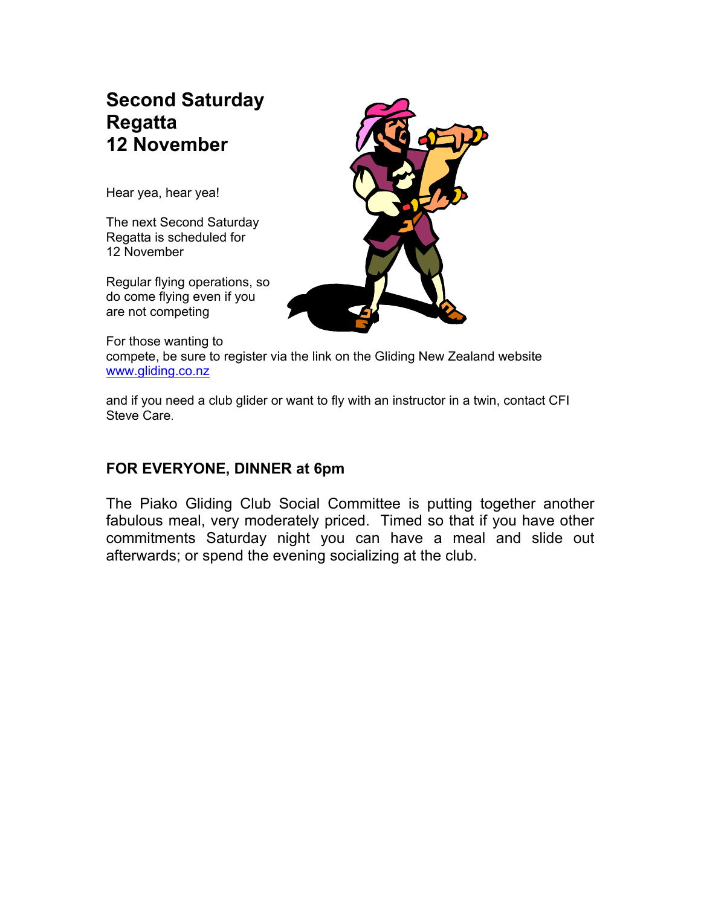## **Second Saturday Regatta 12 November**

Hear yea, hear yea!

The next Second Saturday Regatta is scheduled for 12 November

Regular flying operations, so do come flying even if you are not competing



For those wanting to compete, be sure to register via the link on the Gliding New Zealand website www.gliding.co.nz

and if you need a club glider or want to fly with an instructor in a twin, contact CFI Steve Care.

## **FOR EVERYONE, DINNER at 6pm**

The Piako Gliding Club Social Committee is putting together another fabulous meal, very moderately priced. Timed so that if you have other commitments Saturday night you can have a meal and slide out afterwards; or spend the evening socializing at the club.